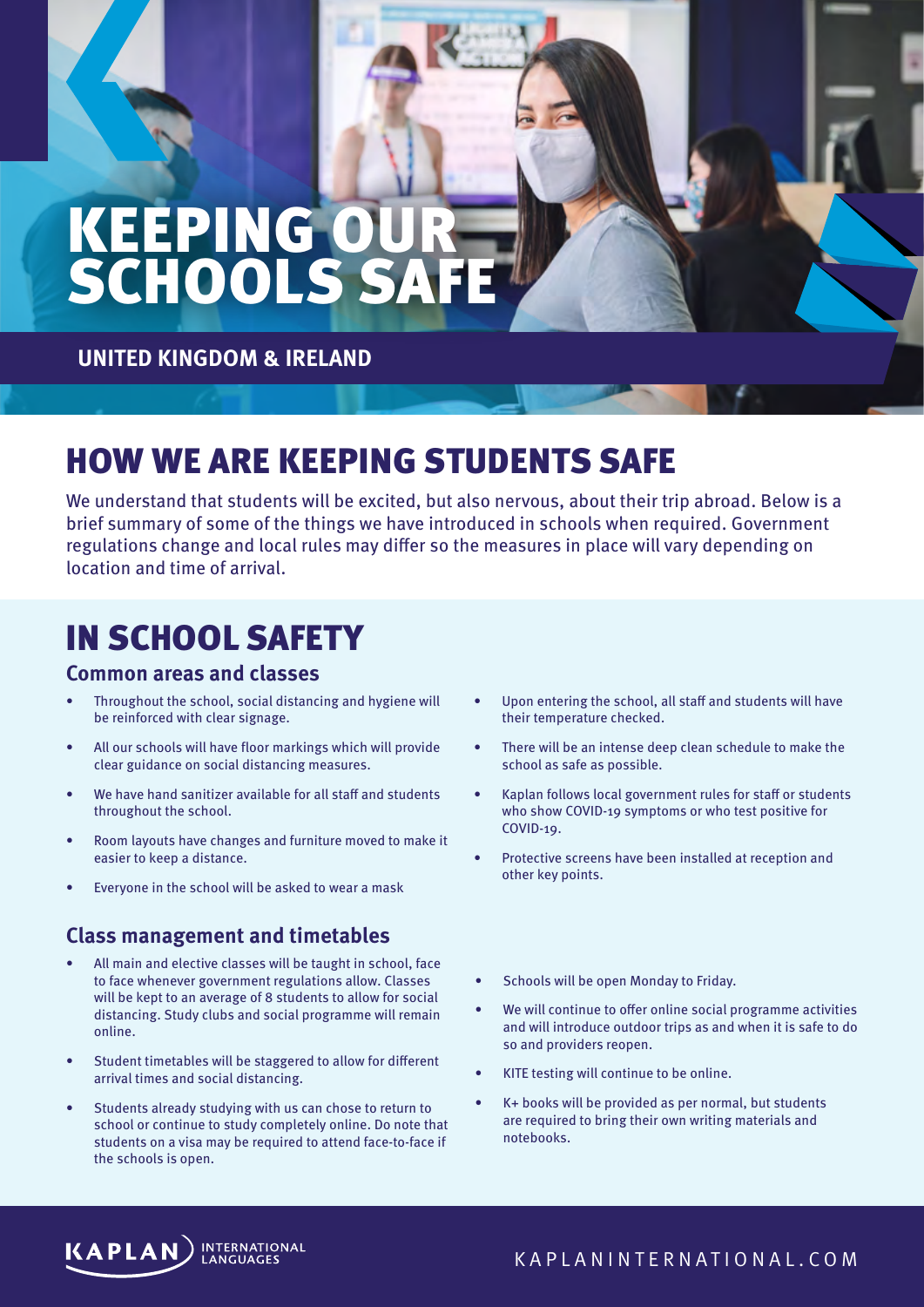# KEEPING OUR SCHOOLS SAFE

**UNITED KINGDOM & IRELAND** 

### HOW WE ARE KEEPING STUDENTS SAFE

We understand that students will be excited, but also nervous, about their trip abroad. Below is a brief summary of some of the things we have introduced in schools when required. Government regulations change and local rules may differ so the measures in place will vary depending on location and time of arrival.

## IN SCHOOL SAFETY

#### **Common areas and classes**

- Throughout the school, social distancing and hygiene will be reinforced with clear signage.
- All our schools will have floor markings which will provide clear guidance on social distancing measures.
- We have hand sanitizer available for all staff and students throughout the school.
- Room layouts have changes and furniture moved to make it easier to keep a distance.
- Everyone in the school will be asked to wear a mask

### **Class management and timetables**

- All main and elective classes will be taught in school, face to face whenever government regulations allow. Classes will be kept to an average of 8 students to allow for social distancing. Study clubs and social programme will remain online.
- Student timetables will be staggered to allow for different arrival times and social distancing.
- Students already studying with us can chose to return to school or continue to study completely online. Do note that students on a visa may be required to attend face-to-face if the schools is open.
- Upon entering the school, all staff and students will have their temperature checked.
- There will be an intense deep clean schedule to make the school as safe as possible.
- Kaplan follows local government rules for staff or students who show COVID-19 symptoms or who test positive for COVID-19.
- Protective screens have been installed at reception and other key points.
- Schools will be open Monday to Friday.
- We will continue to offer online social programme activities and will introduce outdoor trips as and when it is safe to do so and providers reopen.
- KITE testing will continue to be online.
- K+ books will be provided as per normal, but students are required to bring their own writing materials and notebooks.

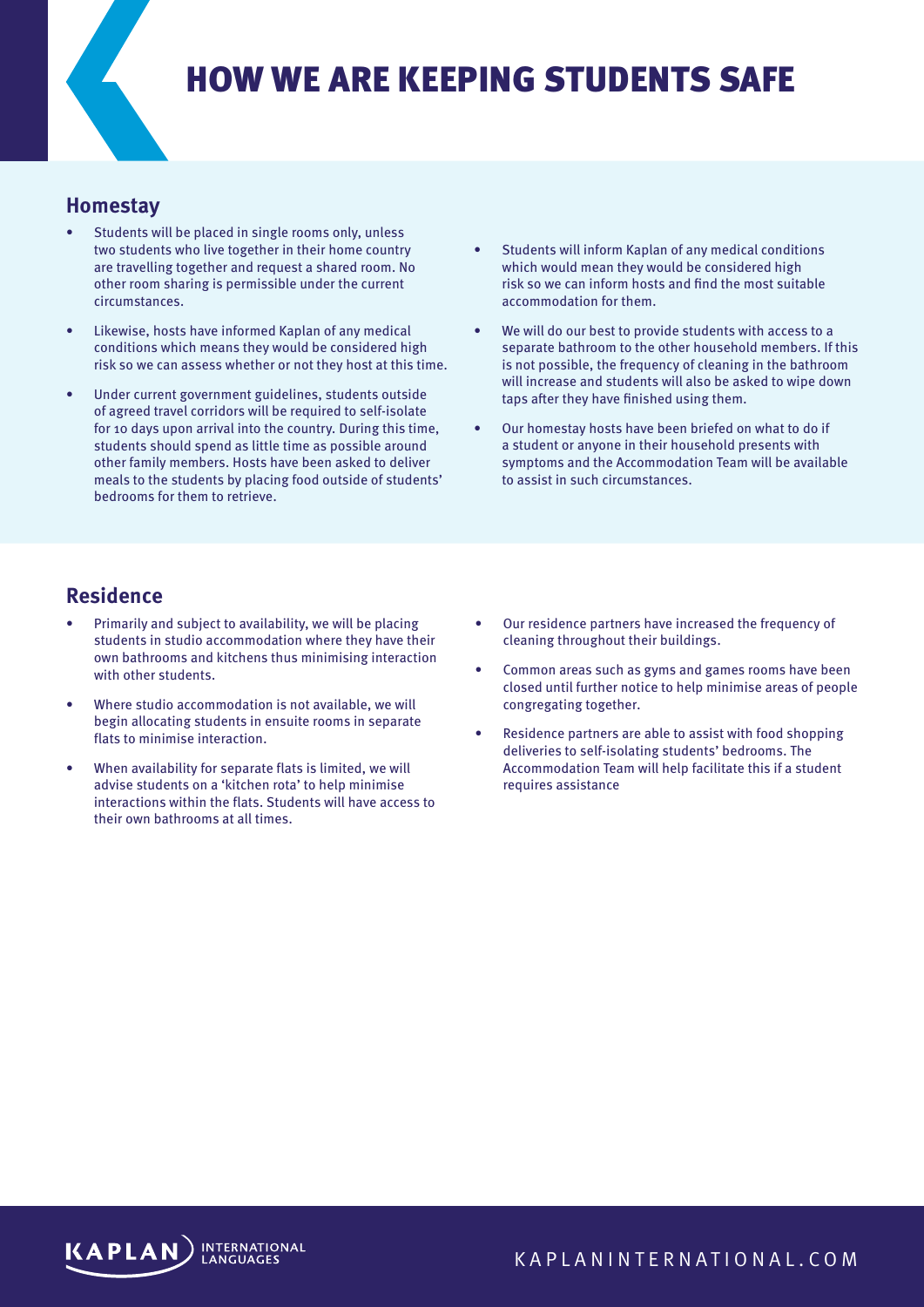### HOW WE ARE KEEPING STUDENTS SAFE

#### **Homestay**

- Students will be placed in single rooms only, unless two students who live together in their home country are travelling together and request a shared room. No other room sharing is permissible under the current circumstances.
- Likewise, hosts have informed Kaplan of any medical conditions which means they would be considered high risk so we can assess whether or not they host at this time.
- Under current government guidelines, students outside of agreed travel corridors will be required to self-isolate for 10 days upon arrival into the country. During this time, students should spend as little time as possible around other family members. Hosts have been asked to deliver meals to the students by placing food outside of students' bedrooms for them to retrieve.
- Students will inform Kaplan of any medical conditions which would mean they would be considered high risk so we can inform hosts and find the most suitable accommodation for them.
- We will do our best to provide students with access to a separate bathroom to the other household members. If this is not possible, the frequency of cleaning in the bathroom will increase and students will also be asked to wipe down taps after they have finished using them.
- Our homestay hosts have been briefed on what to do if a student or anyone in their household presents with symptoms and the Accommodation Team will be available to assist in such circumstances.

#### **Residence**

- Primarily and subject to availability, we will be placing students in studio accommodation where they have their own bathrooms and kitchens thus minimising interaction with other students.
- Where studio accommodation is not available, we will begin allocating students in ensuite rooms in separate flats to minimise interaction.
- When availability for separate flats is limited, we will advise students on a 'kitchen rota' to help minimise interactions within the flats. Students will have access to their own bathrooms at all times.
- Our residence partners have increased the frequency of cleaning throughout their buildings.
- Common areas such as gyms and games rooms have been closed until further notice to help minimise areas of people congregating together.
- Residence partners are able to assist with food shopping deliveries to self-isolating students' bedrooms. The Accommodation Team will help facilitate this if a student requires assistance



KAPLANINTERNATIONAL.COM